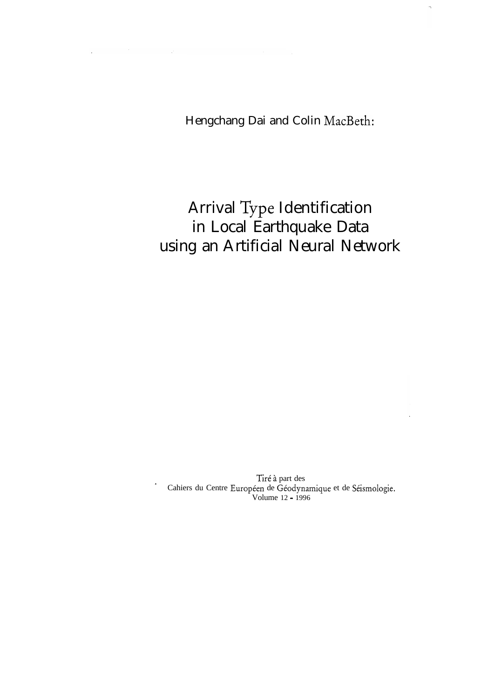Hengchang Dai and Colin MacBeth:

# Arrival Type Identification in Local Earthquake Data using an Artificial Neural Network

Tiré à part des Cahiers du Centre Européen de Géodynamique et de Séismologie. Volume 12 - 1996

 $\cdot$ 

 $\label{eq:2.1} \mathcal{L}^{(2)}(\mathcal{L}^{(1)})=\mathcal{L}^{(1)}(\mathcal{L}^{(1)})\otimes\mathcal{L}^{(2)}(\mathcal{L}^{(1)})\otimes\mathcal{L}^{(2)}(\mathcal{L}^{(1)})$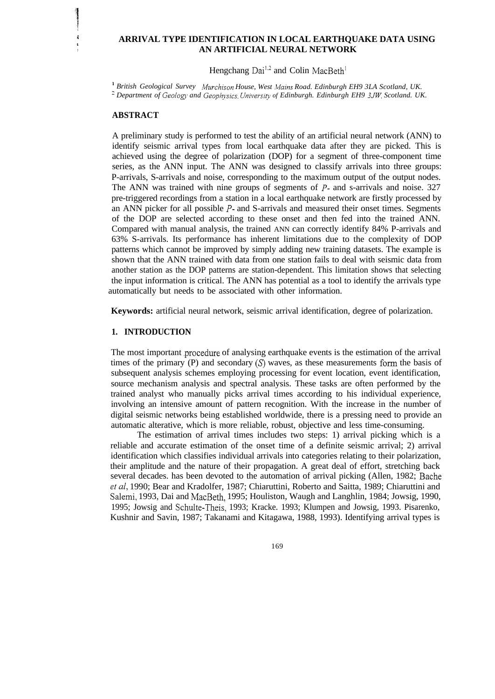## **' ARRIVAL TYPE IDENTIFICATION IN LOCAL EARTHQUAKE DATA USING , AN ARTIFICIAL NEURAL NETWORK**

Hengchang Dai<sup>1,2</sup> and Colin MacBeth<sup>1</sup>

<sup>1</sup> British Geological Survey *Murchison House, West Mains Road. Edinburgh EH9 3LA Scotland, UK.* <sup>2</sup> Department of *Geology and Geophysics. University of Edinburgh. Edinburgh EH9 3JW, Scotland. UK.* 

## **ABSTRACT**

i

A preliminary study is performed to test the ability of an artificial neural network (ANN) to identify seismic arrival types from local earthquake data after they are picked. This is achieved using the degree of polarization (DOP) for a segment of three-component time series, as the ANN input. The ANN was designed to classify arrivals into three groups: P-arrivals, S-arrivals and noise, corresponding to the maximum output of the output nodes. The ANN was trained with nine groups of segments of  $P$ - and s-arrivals and noise. 327 pre-triggered recordings from a station in a local earthquake network are firstly processed by an ANN picker for all possible P- and S-arrivals and measured their onset times. Segments of the DOP are selected according to these onset and then fed into the trained ANN. Compared with manual analysis, the trained ANN can correctly identify 84% P-arrivals and 63% S-arrivals. Its performance has inherent limitations due to the complexity of DOP patterns which cannot be improved by simply adding new training datasets. The example is shown that the ANN trained with data from one station fails to deal with seismic data from another station as the DOP patterns are station-dependent. This limitation shows that selecting the input information is critical. The ANN has potential as a tool to identify the arrivals type automatically but needs to be associated with other information.

**Keywords:** artificial neural network, seismic arrival identification, degree of polarization.

# **1. INTRODUCTION**

The most important procedure of analysing earthquake events is the estimation of the arrival times of the primary (P) and secondary  $(S)$  waves, as these measurements form the basis of subsequent analysis schemes employing processing for event location, event identification, source mechanism analysis and spectral analysis. These tasks are often performed by the trained analyst who manually picks arrival times according to his individual experience, involving an intensive amount of pattern recognition. With the increase in the number of digital seismic networks being established worldwide, there is a pressing need to provide an automatic alterative, which is more reliable, robust, objective and less time-consuming.

The estimation of arrival times includes two steps: 1) arrival picking which is a reliable and accurate estimation of the onset time of a definite seismic arrival; 2) arrival identification which classifies individual arrivals into categories relating to their polarization, their amplitude and the nature of their propagation. A great deal of effort, stretching back several decades. has been devoted to the automation of arrival picking (Allen, 1982; Bache et al, 1990; Bear and Kradolfer, 1987; Chiaruttini, Roberto and Saitta, 1989; Chiaruttini and Salemi, 1993, Dai and MacBeth, 1995; Houliston, Waugh and Langhlin, 1984; Jowsig, 1990, 1995; Jowsig and Schulte-Theis, 1993; Kracke. 1993; Klumpen and Jowsig, 1993. Pisarenko, Kushnir and Savin, 1987; Takanami and Kitagawa, 1988, 1993). Identifying arrival types is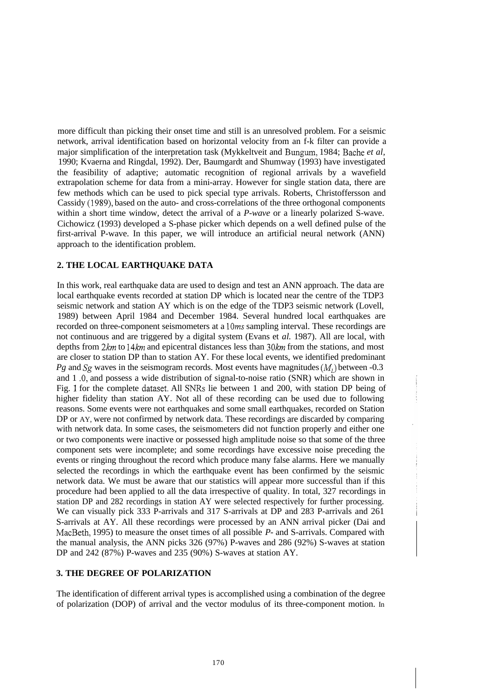more difficult than picking their onset time and still is an unresolved problem. For a seismic network, arrival identification based on horizontal velocity from an f-k filter can provide a major simplification of the interpretation task (Mykkeltveit and Bungum, 1984; Bache *et al.*) 1990; Kvaerna and Ringdal, 1992). Der, Baumgardt and Shumway (1993) have investigated the feasibility of adaptive; automatic recognition of regional arrivals by a wavefield extrapolation scheme for data from a mini-array. However for single station data, there are few methods which can be used to pick special type arrivals. Roberts, Christoffersson and Cassidy (1989), based on the auto- and cross-correlations of the three orthogonal components within a short time window, detect the arrival of a *P-wave* or a linearly polarized S-wave. Cichowicz (1993) developed a S-phase picker which depends on a well defined pulse of the first-arrival P-wave. In this paper, we will introduce an artificial neural network (ANN) approach to the identification problem.

## **2. THE LOCAL EARTHQUAKE DATA**

In this work, real earthquake data are used to design and test an ANN approach. The data are local earthquake events recorded at station DP which is located near the centre of the TDP3 seismic network and station AY which is on the edge of the TDP3 seismic network (Lovell, 1989) between April 1984 and December 1984. Several hundred local earthquakes are recorded on three-component seismometers at a 1Oms sampling interval. These recordings are not continuous and are triggered by a digital system (Evans et *al.* 1987). All are local, with depths from  $2km$  to  $14km$  and epicentral distances less than  $30km$  from the stations, and most are closer to station DP than to station AY. For these local events, we identified predominant *Pg* and Sg waves in the seismogram records. Most events have magnitudes  $(M<sub>L</sub>)$  between -0.3 and 1 .O, and possess a wide distribution of signal-to-noise ratio (SNR) which are shown in Fig. 1 for the complete dataset. All SNRs lie between 1 and 200, with station DP being of higher fidelity than station AY. Not all of these recording can be used due to following reasons. Some events were not earthquakes and some small earthquakes, recorded on Station DP or AY, were not confirmed by network data. These recordings are discarded by comparing with network data. In some cases, the seismometers did not function properly and either one or two components were inactive or possessed high amplitude noise so that some of the three component sets were incomplete; and some recordings have excessive noise preceding the events or ringing throughout the record which produce many false alarms. Here we manually selected the recordings in which the earthquake event has been confirmed by the seismic network data. We must be aware that our statistics will appear more successful than if this procedure had been applied to all the data irrespective of quality. In total, 327 recordings in station DP and 282 recordings in station AY were selected respectively for further processing. We can visually pick 333 P-arrivals and 317 S-arrivals at DP and 283 P-arrivals and 261 S-arrivals at AY. All these recordings were processed by an ANN arrival picker (Dai and MacBeth, 1995) to measure the onset times of all possible *P-* and S-arrivals. Compared with the manual analysis, the ANN picks 326 (97%) P-waves and 286 (92%) S-waves at station DP and 242 (87%) P-waves and 235 (90%) S-waves at station AY.

# **3. THE DEGREE OF POLARIZATION**

The identification of different arrival types is accomplished using a combination of the degree of polarization (DOP) of arrival and the vector modulus of its three-component motion. In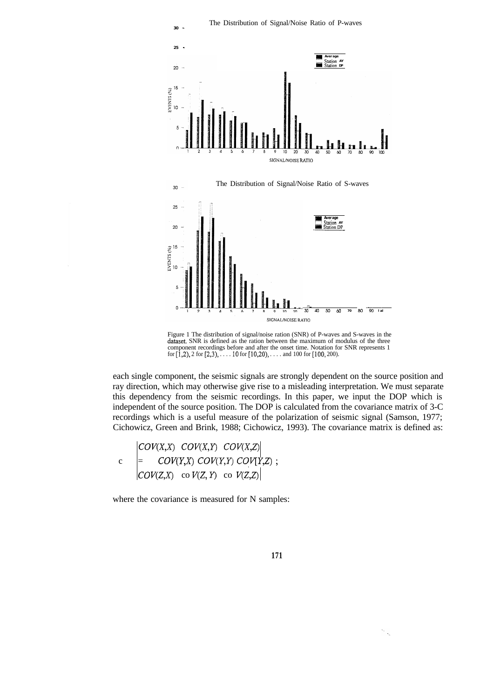

Figure 1 The distribution of signal/noise ration (SNR) of P-waves and S-waves in the dataset. SNR is defined as the ration between the maximum of modulus of the three component recordings before and after the onset time. Notation for SNR represents 1 for  $[1,2)$ , 2 for  $[2,3)$ ,  $\ldots$  . 10 for  $[10,20)$ ,  $\ldots$  and 100 for  $[100, 200)$ .

each single component, the seismic signals are strongly dependent on the source position and ray direction, which may otherwise give rise to a misleading interpretation. We must separate this dependency from the seismic recordings. In this paper, we input the DOP which is independent of the source position. The DOP is calculated from the covariance matrix of 3-C recordings which is a useful measure of the polarization of seismic signal (Samson, 1977; Cichowicz, Green and Brink, 1988; Cichowicz, 1993). The covariance matrix is defined as:

 $COV(X,X)$   $COV(X,Y)$   $COV(X,Z)$  $c = \text{COV}(Y,X) \text{ COV}(Y,Y) \text{ COV}(Y,Z)$ ;  $COV(Z,X)$  co  $V(Z,Y)$  co  $V(Z,Z)$ 

where the covariance is measured for N samples: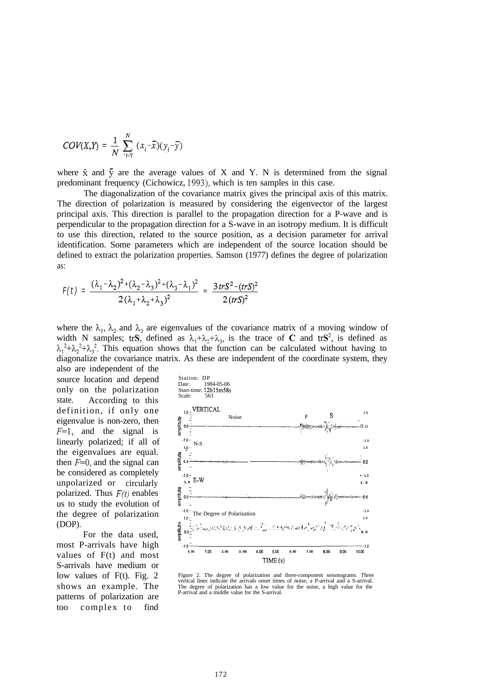$$
COV(X,Y) = \frac{1}{N} \sum_{i \in \mathcal{I}}^{N} (x_i - \overline{x})(y_i - \overline{y})
$$

where  $\bar{x}$  and  $\bar{y}$  are the average values of X and Y. N is determined from the signal predominant frequency (Cichowicz, 1993), which is ten samples in this case.

The diagonalization of the covariance matrix gives the principal axis of this matrix. The direction of polarization is measured by considering the eigenvector of the largest principal axis. This direction is parallel to the propagation direction for a P-wave and is perpendicular to the propagation direction for a S-wave in an isotropy medium. It is difficult to use this direction, related to the source position, as a decision parameter for arrival identification. Some parameters which are independent of the source location should be defined to extract the polarization properties. Samson (1977) defines the degree of polarization as:

$$
F(t) = \frac{(\lambda_1 - \lambda_2)^2 + (\lambda_2 - \lambda_3)^2 + (\lambda_3 - \lambda_1)^2}{2(\lambda_1 + \lambda_2 + \lambda_3)^2} = \frac{3trS^2 - (trS)^2}{2(trS)^2}
$$

where the  $\lambda_1$ ,  $\lambda_2$  and  $\lambda_3$  are eigenvalues of the covariance matrix of a moving window of width N samples; trS, defined as  $\lambda_1 + \lambda_2 + \lambda_3$ , is the trace of C and trS<sup>2</sup>, is defined as  $\lambda_1^2+\lambda_2^2+\lambda_3^2$ . This equation shows that the function can be calculated without having to diagonalize the covariance matrix. As these are independent of the coordinate system, they

also are independent of the source location and depend only on the polarization state. According to this definition, if only one eigenvalue is non-zero, then  $F=1$ , and the signal is linearly polarized; if all of the eigenvalues are equal. then  $F=0$ , and the signal can be considered as completely unpolarized or circularly polarized. Thus  $F(t)$  enables us to study the evolution of the degree of polarization (DOP).

For the data used, most P-arrivals have high values of F(t) and most S-arrivals have medium or low values of  $F(t)$ . Fig. 2 shows an example. The patterns of polarization are too complex to find



Figure 2. The degree of polarization and three-component seismograms. Three vertical lines indicate the arrivals onset times of noise, a P-arrival and a S-arrival. The degree of polarization has a low value for the noise, a high value for the P-arrival and a middle value for the S-arrival.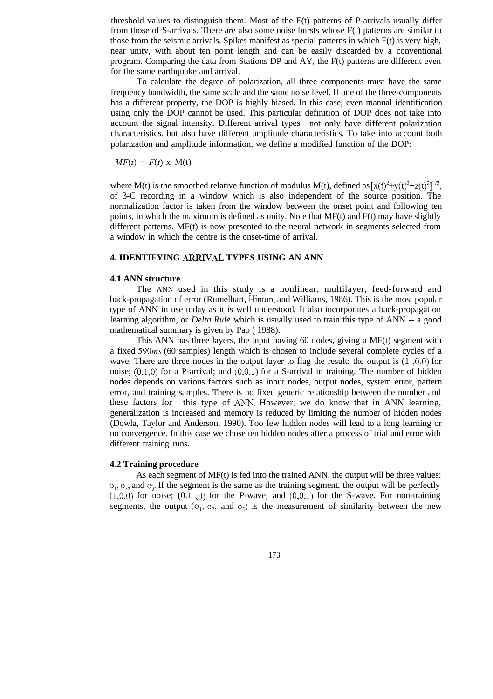threshold values to distinguish them. Most of the F(t) patterns of P-arrivals usually differ from those of S-arrivals. There are also some noise bursts whose F(t) patterns are similar to those from the seismic arrivals. Spikes manifest as special patterns in which F(t) is very high, near unity, with about ten point length and can be easily discarded by a conventional program. Comparing the data from Stations DP and AY, the F(t) patterns are different even for the same earthquake and arrival.

To calculate the degree of polarization, all three components must have the same frequency bandwidth, the same scale and the same noise level. If one of the three-components has a different property, the DOP is highly biased. In this case, even manual identification using only the DOP cannot be used. This particular definition of DOP does not take into account the signal intensity. Different arrival types not only have different polarization characteristics. but also have different amplitude characteristics. To take into account both polarization and amplitude information, we define a modified function of the DOP:

 $MF(t) = F(t) \times M(t)$ 

where M(t) is the smoothed relative function of modulus M(t), defined as  $[x(t)^{2}+y(t)^{2}+z(t)^{2}]^{1/2}$ , of 3-C recording in a window which is also independent of the source position. The normalization factor is taken from the window between the onset point and following ten points, in which the maximum is defined as unity. Note that  $MF(t)$  and  $F(t)$  may have slightly different patterns. MF(t) is now presented to the neural network in segments selected from a window in which the centre is the onset-time of arrival.

# **4. IDENTIFYING ARRIVAL TYPES USING AN ANN**

#### **4.1 ANN structure**

The ANN used in this study is a nonlinear, multilayer, feed-forward and back-propagation of error (Rumelhart, Hinton, and Williams, 1986). This is the most popular type of ANN in use today as it is well understood. It also incorporates a back-propagation learning algorithm, or *Delta Rule* which is usually used to train this type of ANN -- a good mathematical summary is given by Pao ( 1988).

This ANN has three layers, the input having 60 nodes, giving a MF(t) segment with a fixed 590ms (60 samples) length which is chosen to include several complete cycles of a wave. There are three nodes in the output layer to flag the result: the output is  $(1,0,0)$  for noise;  $(0,1,0)$  for a P-arrival; and  $(0,0,1)$  for a S-arrival in training. The number of hidden nodes depends on various factors such as input nodes, output nodes, system error, pattern error, and training samples. There is no fixed generic relationship between the number and these factors for this type of AhrN. However, we do know that in ANN learning, generalization is increased and memory is reduced by limiting the number of hidden nodes (Dowla, Taylor and Anderson, 1990). Too few hidden nodes will lead to a long learning or no convergence. In this case we chose ten hidden nodes after a process of trial and error with different training runs.

## **4.2 Training procedure**

As each segment of MF(t) is fed into the trained ANN, the output will be three values:  $o<sub>1</sub>, o<sub>2</sub>$ , and  $o<sub>3</sub>$ . If the segment is the same as the training segment, the output will be perfectly  $(1,0,0)$  for noise;  $(0.1,0)$  for the P-wave; and  $(0,0,1)$  for the S-wave. For non-training segments, the output  $(o_1, o_2, a_3)$  is the measurement of similarity between the new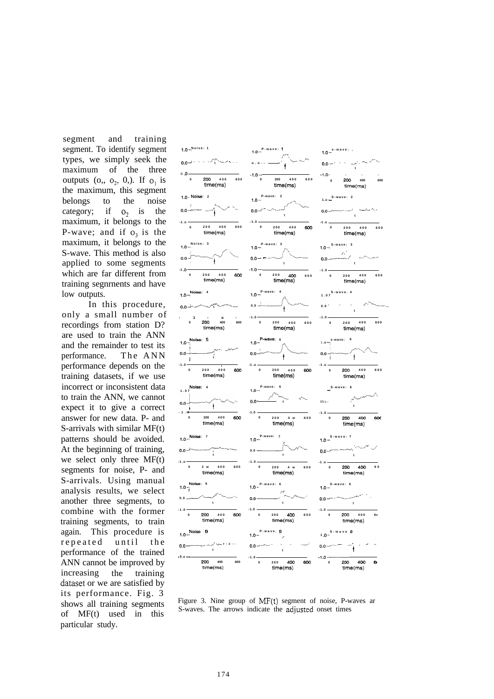segment and training segment. To identify segment types, we simply seek the maximum of the three outputs  $(o, o<sub>2</sub>, 0)$ . If  $o<sub>1</sub>$  is the maximum, this segment belongs to the noise category; if  $o_2$  is the maximum, it belongs to the P-wave; and if  $o<sub>3</sub>$  is the maximum, it belongs to the S-wave. This method is also applied to some segments which are far different from training segnrnents and have low outputs.

In this procedure, only a small number of recordings from station D? are used to train the ANN and the remainder to test its performance. The ANN performance depends on the training datasets, if we use incorrect or inconsistent data to train the ANN, we cannot expect it to give a correct answer for new data. P- and S-arrivals with similar MF(t) patterns should be avoided. At the beginning of training, we select only three MF(t) segments for noise, P- and S-arrivals. Using manual analysis results, we select another three segments, to combine with the former training segments, to train again. This procedure is repeated until the performance of the trained ANN cannot be improved by increasing the training dataset or we are satisfied by its performance. Fig. 3 shows all training segments of MF(t) used in this particular study.



Figure 3. Nine group of  $MF(t)$  segment of noise, P-waves ar S-waves. The arrows indicate the adjusted onset times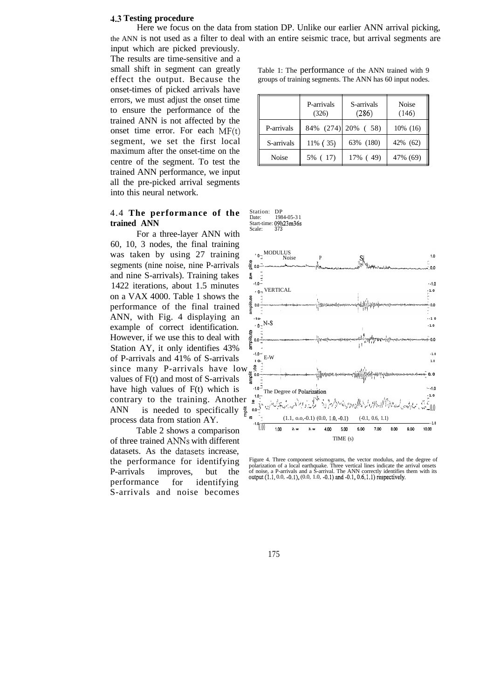#### **4.3 Testing procedure**

Here we focus on the data from station DP. Unlike our earlier ANN arrival picking, the ANN is not used as a filter to deal with an entire seismic trace, but arrival segments are input which are picked previously.

The results are time-sensitive and a small shift in segment can greatly Table 1: The performance of the ANN trained with 9 onset-times of picked arrivals have errors, we must adjust the onset time to ensure the performance of the trained ANN is not affected bv the onset time error. For each  $MF(t)$ segment, we set the first local maximum after the onset-time on the centre of the segment. To test the trained ANN performance, we input all the pre-picked arrival segments into this neural network.

## 4.4 **The performance of the trained ANN**

For a three-layer ANN with 60, 10, 3 nodes, the final training was taken by using 27 training segments (nine noise, nine P-arrivals and nine S-arrivals). Training takes 1422 iterations, about 1.5 minutes on a VAX 4000. Table 1 shows the performance of the final trained ANN, with Fig. 4 displaying an example of correct identification. However, if we use this to deal with Station AY, it only identifies 43% of P-arrivals and 41% of S-arrivals<br>
since many P-arrivals have low  $\frac{g}{\overline{g}}$ <br>
values of F(t) and most of S-arrivals have high values of  $F(t)$  which is  $\frac{10^{-3}}{10^{-3}}$ contrary to the training. Another  $\frac{10}{2}$ .<br>ANN is needed to specifically  $\frac{10}{4}$ . ANN is needed to specifically  $\frac{5}{5}$   $\frac{1}{5}$ 

Table 2 shows a comparison of three trained ANNs with different datasets. As the datasets increase, P-arrivals improves, but the performance for identifying S-arrivals and noise becomes

effect the output. Because the groups of training segments. The ANN has 60 input nodes.

|              | P-arrivals<br>(326) | S-arrivals<br>(286) | Noise<br>(146) |
|--------------|---------------------|---------------------|----------------|
| P-arrivals   |                     | 84% (274) 20% (58)  | $10\%$ (16)    |
| S-arrivals   | 11% (35)            | 63% (180)           | 42% (62)       |
| <b>Noise</b> | 5% (17)             | 17% (49)            | 47% (69)       |

Station: DP<br>Date: 198 Date: 1984-05-3 1 Start-time: 09h23m36s<br>Scale: 373





the performance for identifying Figure 4. Three component seismograms, the vector modulus, and the degree of polarization of a local earthquake. Three vertical lines indicate the arrival onsets of noise, a P-arrivals and a S-arrival. The ANN correctly identifies them with its output (1.1, 0.0, -0.1), (0.0, 1.0, -0.1) and -0.1, 0.6, 1.1) respectively.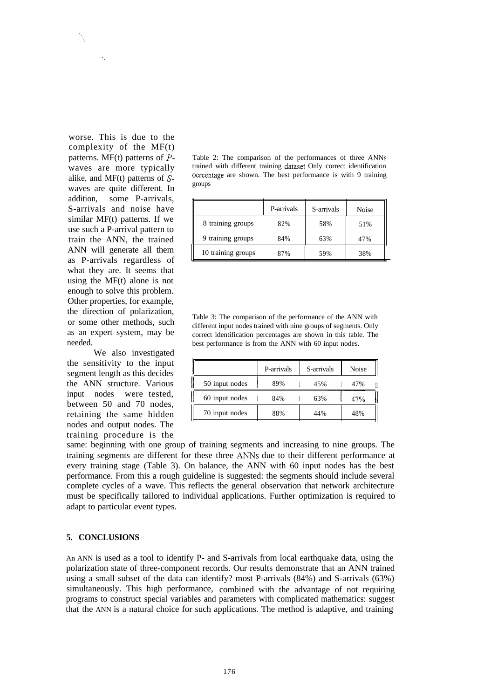worse. This is due to the complexity of the MF(t) patterns.  $MF(t)$  patterns of  $P$ waves are more typically alike, and  $MF(t)$  patterns of  $S$ waves are quite different. In addition, some P-arrivals, S-arrivals and noise have similar MF(t) patterns. If we use such a P-arrival pattern to train the ANN, the trained ANN will generate all them as P-arrivals regardless of what they are. It seems that using the MF(t) alone is not enough to solve this problem. Other properties, for example, the direction of polarization, or some other methods, such as an expert system, may be needed.

We also investigated the sensitivity to the input segment length as this decides the ANN structure. Various input nodes were tested, between 50 and 70 nodes, retaining the same hidden nodes and output nodes. The training procedure is the

Table 2: The comparison of the performances of three ANNs trained with different training dataset Only correct identification oercentage are shown. The best performance is with 9 training groups

|                    | P-arrivals | S-arrivals | <b>Noise</b> |
|--------------------|------------|------------|--------------|
| 8 training groups  | 82%        | 58%        | 51%          |
| 9 training groups  | 84%        | 63%        | 47%          |
| 10 training groups | 87%        | 59%        | 38%          |

Table 3: The comparison of the performance of the ANN with different input nodes trained with nine groups of segments. Only correct identification percentages are shown in this table. The best performance is from the ANN with 60 input nodes.

|                | P-arrivals | S-arrivals | <b>Noise</b> |
|----------------|------------|------------|--------------|
| 50 input nodes | 89%        | 45%        | 47%          |
| 60 input nodes | 84%        | 63%        | 47%          |
| 70 input nodes | 88%        | 44%        | 48%          |

same: beginning with one group of training segments and increasing to nine groups. The training segments are different for these three ANNs due to their different performance at every training stage (Table 3). On balance, the ANN with 60 input nodes has the best performance. From this a rough guideline is suggested: the segments should include several complete cycles of a wave. This reflects the general observation that network architecture must be specifically tailored to individual applications. Further optimization is required to adapt to particular event types.

# **5. CONCLUSIONS**

An ANN is used as a tool to identify P- and S-arrivals from local earthquake data, using the polarization state of three-component records. Our results demonstrate that an ANN trained using a small subset of the data can identify? most P-arrivals (84%) and S-arrivals (63%) simultaneously. This high performance, combined with the advantage of not requiring programs to construct special variables and parameters with complicated mathematics: suggest that the ANN is a natural choice for such applications. The method is adaptive, and training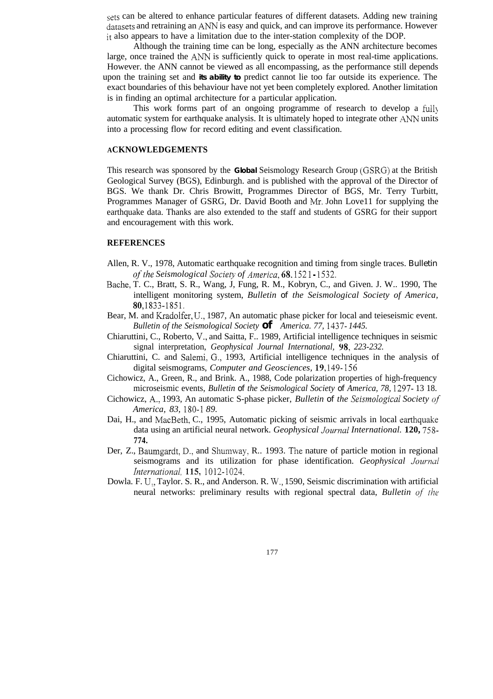sets can be altered to enhance particular features of different datasets. Adding new training datasets and retraining an ANN is easy and quick, and can improve its performance. However it also appears to have a limitation due to the inter-station complexity of the DOP.

Although the training time can be long, especially as the ANN architecture becomes large, once trained the ANN is sufficiently quick to operate in most real-time applications. However. the ANN cannot be viewed as all encompassing, as the performance still depends upon the training set and **its ability to** predict cannot lie too far outside its experience. The exact boundaries of this behaviour have not yet been completely explored. Another limitation is in finding an optimal architecture for a particular application.

This work forms part of an ongoing programme of research to develop a fully automatic system for earthquake analysis. It is ultimately hoped to integrate other ANN units into a processing flow for record editing and event classification.

# **ACKNOWLEDGEMENTS**

This research was sponsored by the **Global** Seismology Research Group (GSRG) at the British Geological Survey (BGS), Edinburgh. and is published with the approval of the Director of BGS. We thank Dr. Chris Browitt, Programmes Director of BGS, Mr. Terry Turbitt, Programmes Manager of GSRG, Dr. David Booth and Mr. John Love11 for supplying the earthquake data. Thanks are also extended to the staff and students of GSRG for their support and encouragement with this work.

## **REFERENCES**

- Allen, R. V., 1978, Automatic earthquake recognition and timing from single traces. *Bulletin of the Seismological Society of America,*  $68.1521 - 1532$ .
- Bathe, T. C., Bratt, S. R., Wang, J, Fung, R. M., Kobryn, C., and Given. J. W.. 1990, The intelligent monitoring system, *Bulletin of the Seismological Society of America,* 80,1833-1851.
- Bear, M. and Kradolfer, U., 1987, An automatic phase picker for local and teieseismic event. *Bulletin of the Seismological Society of America. 77, 1437- 1445.*
- Chiaruttini, C., Roberto, V.: and Saitta, F.. 1989, Artificial intelligence techniques in seismic signal interpretation, *Geophysical Journal International, 98, 223-232.*
- Chiaruttini, C. and Salemi, G., 1993, Artificial intelligence techniques in the analysis of digital seismograms, *Computer and Geosciences, 19, i49- I56*
- Cichowicz, A., Green, R., and Brink. A., 1988, Code polarization properties of high-frequency microseismic events, *Bulletin of the Seismological Society of America, 78,* **1297-** 13 18.
- Cichowicz, A., 1993, An automatic S-phase picker, *Bulletin of the Seismological Society of America, 83, 180-I 89.*
- Dai, H., and MacBeth, C., 1995, Automatic picking of seismic arrivals in local earthquake data using an artificial neural network. *Geophysical Journul International.* **120, 758- 774.**
- Der, Z., Baumgardt, D., and Shumway, R.. 1993. The nature of particle motion in regional seismograms and its utilization for phase identification. *Geophysical Journal Internationul, 115,* 1012-1024,
- Dowla. F. U:, Taylor. S. R., and Anderson. R. W., 1590, Seismic discrimination with artificial neural networks: preliminary results with regional spectral data, *Bulletin of the*